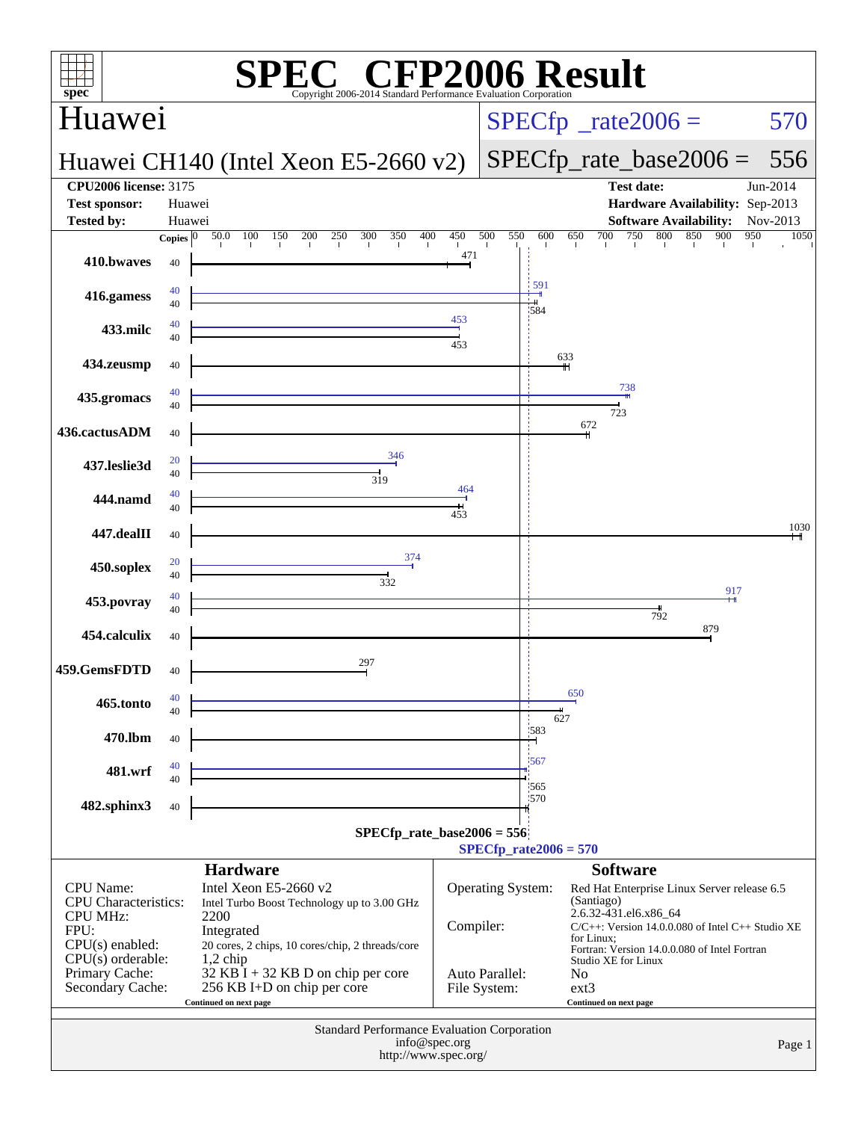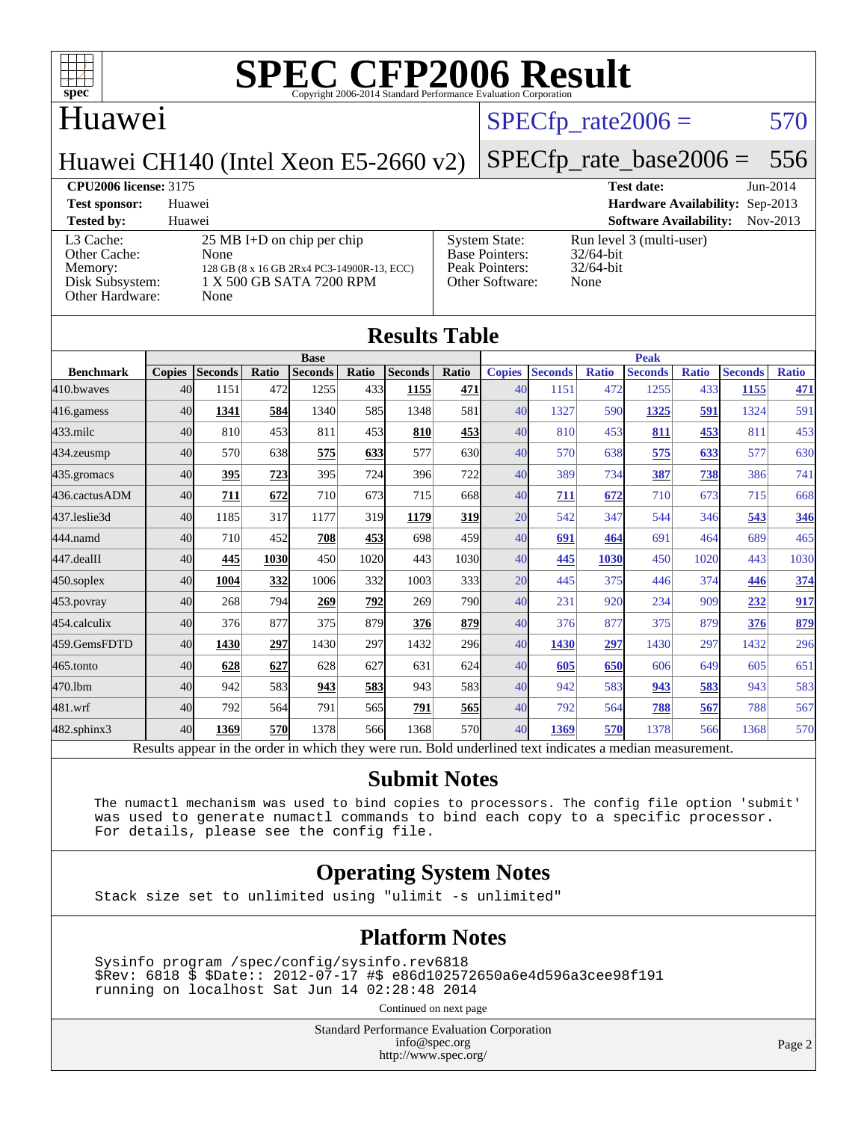

## Huawei

## $SPECTp\_rate2006 = 570$

Huawei CH140 (Intel Xeon E5-2660 v2)

## [SPECfp\\_rate\\_base2006 =](http://www.spec.org/auto/cpu2006/Docs/result-fields.html#SPECfpratebase2006) 556

**[CPU2006 license:](http://www.spec.org/auto/cpu2006/Docs/result-fields.html#CPU2006license)** 3175 **[Test date:](http://www.spec.org/auto/cpu2006/Docs/result-fields.html#Testdate)** Jun-2014 **[Test sponsor:](http://www.spec.org/auto/cpu2006/Docs/result-fields.html#Testsponsor)** Huawei **[Hardware Availability:](http://www.spec.org/auto/cpu2006/Docs/result-fields.html#HardwareAvailability)** Sep-2013 **[Tested by:](http://www.spec.org/auto/cpu2006/Docs/result-fields.html#Testedby)** Huawei **[Software Availability:](http://www.spec.org/auto/cpu2006/Docs/result-fields.html#SoftwareAvailability)** Nov-2013 [L3 Cache:](http://www.spec.org/auto/cpu2006/Docs/result-fields.html#L3Cache) 25 MB I+D on chip per chip<br>Other Cache: None [Other Cache:](http://www.spec.org/auto/cpu2006/Docs/result-fields.html#OtherCache) [Memory:](http://www.spec.org/auto/cpu2006/Docs/result-fields.html#Memory) 128 GB (8 x 16 GB 2Rx4 PC3-14900R-13, ECC) [Disk Subsystem:](http://www.spec.org/auto/cpu2006/Docs/result-fields.html#DiskSubsystem) 1 X 500 GB SATA 7200 RPM [Other Hardware:](http://www.spec.org/auto/cpu2006/Docs/result-fields.html#OtherHardware) None [System State:](http://www.spec.org/auto/cpu2006/Docs/result-fields.html#SystemState) Run level 3 (multi-user)<br>Base Pointers: 32/64-bit [Base Pointers:](http://www.spec.org/auto/cpu2006/Docs/result-fields.html#BasePointers) [Peak Pointers:](http://www.spec.org/auto/cpu2006/Docs/result-fields.html#PeakPointers) 32/64-bit [Other Software:](http://www.spec.org/auto/cpu2006/Docs/result-fields.html#OtherSoftware) None

| <b>Results Table</b> |               |                |       |                |       |                                                                                                          |              |               |                |              |                |       |                |              |
|----------------------|---------------|----------------|-------|----------------|-------|----------------------------------------------------------------------------------------------------------|--------------|---------------|----------------|--------------|----------------|-------|----------------|--------------|
|                      | <b>Base</b>   |                |       |                |       | <b>Peak</b>                                                                                              |              |               |                |              |                |       |                |              |
| <b>Benchmark</b>     | <b>Copies</b> | <b>Seconds</b> | Ratio | <b>Seconds</b> | Ratio | <b>Seconds</b>                                                                                           | Ratio        | <b>Copies</b> | <b>Seconds</b> | <b>Ratio</b> | <b>Seconds</b> | Ratio | <b>Seconds</b> | <b>Ratio</b> |
| 410.bwayes           | 40            | 1151           | 472   | 1255           | 433   | 1155                                                                                                     | 471          | 40            | 1151           | 472          | 1255           | 433   | 1155           | <u>471</u>   |
| 416.gamess           | 40            | 1341           | 584   | 1340           | 585   | 1348                                                                                                     | 581          | 40            | 1327           | 590          | 1325           | 591   | 1324           | 591          |
| $433$ .milc          | 40            | 810            | 453   | 811            | 453   | 810                                                                                                      | <u>453</u>   | 40            | 810            | 453          | 811            | 453   | 811            | 453          |
| 434.zeusmp           | 40            | 570            | 638   | 575            | 633   | 577                                                                                                      | 630          | 40            | 570            | 638          | 575            | 633   | 577            | 630          |
| 435.gromacs          | 40            | 395            | 723   | 395            | 724   | 396                                                                                                      | 722          | 40            | 389            | 734          | 387            | 738   | 386            | 741          |
| 436.cactusADM        | 40            | 711            | 672   | 710            | 673   | 715                                                                                                      | 668          | 40            | 711            | 672          | 710            | 673   | 715            | 668          |
| 437.leslie3d         | 40            | 1185           | 317   | 1177           | 319   | 1179                                                                                                     | <u>319</u>   | 20            | 542            | 347          | 544            | 346   | 543            | 346          |
| 444.namd             | 40            | 710            | 452   | 708            | 453   | 698                                                                                                      | 459          | 40            | 691            | 464          | 691            | 464   | 689            | 465          |
| 447.dealII           | 40            | 445            | 1030  | 450            | 1020  | 443                                                                                                      | 1030         | 40            | 445            | 1030         | 450            | 1020  | 443            | 1030         |
| $450$ .soplex        | 40            | 1004           | 332   | 1006           | 332   | 1003                                                                                                     | 333 <b>1</b> | 20            | 445            | 375          | 446            | 374   | 446            | 374          |
| 453.povray           | 40            | 268            | 794   | 269            | 792   | 269                                                                                                      | 790I         | 40            | 231            | 920          | 234            | 909   | 232            | 917          |
| 454.calculix         | 40            | 376            | 877   | 375            | 879   | 376                                                                                                      | 879          | 40            | 376            | 877          | 375            | 879   | 376            | 879          |
| 459.GemsFDTD         | 40            | 1430           | 297   | 1430           | 297   | 1432                                                                                                     | 296          | 40            | 1430           | 297          | 1430           | 297   | 1432           | 296          |
| $465$ .tonto         | 40            | 628            | 627   | 628            | 627   | 631                                                                                                      | 624          | 40            | 605            | 650          | 606            | 649   | 605            | 651          |
| 470.1bm              | 40            | 942            | 583   | 943            | 583   | 943                                                                                                      | 583          | 40            | 942            | 583          | 943            | 583   | 943            | 583          |
| 481.wrf              | 40            | 792            | 564   | 791            | 565   | 791                                                                                                      | 565          | 40            | 792            | 564          | 788            | 567   | 788            | 567          |
| 482.sphinx3          | 40            | 1369           | 570   | 1378           | 566   | 1368                                                                                                     | 570          | 40            | 1369           | 570          | 1378           | 566   | 1368           | 570          |
|                      |               |                |       |                |       | Results appear in the order in which they were run. Bold underlined text indicates a median measurement. |              |               |                |              |                |       |                |              |

#### **[Submit Notes](http://www.spec.org/auto/cpu2006/Docs/result-fields.html#SubmitNotes)**

 The numactl mechanism was used to bind copies to processors. The config file option 'submit' was used to generate numactl commands to bind each copy to a specific processor. For details, please see the config file.

### **[Operating System Notes](http://www.spec.org/auto/cpu2006/Docs/result-fields.html#OperatingSystemNotes)**

Stack size set to unlimited using "ulimit -s unlimited"

### **[Platform Notes](http://www.spec.org/auto/cpu2006/Docs/result-fields.html#PlatformNotes)**

 Sysinfo program /spec/config/sysinfo.rev6818 \$Rev: 6818 \$ \$Date:: 2012-07-17 #\$ e86d102572650a6e4d596a3cee98f191 running on localhost Sat Jun 14 02:28:48 2014

Continued on next page

Standard Performance Evaluation Corporation [info@spec.org](mailto:info@spec.org) <http://www.spec.org/>

Page 2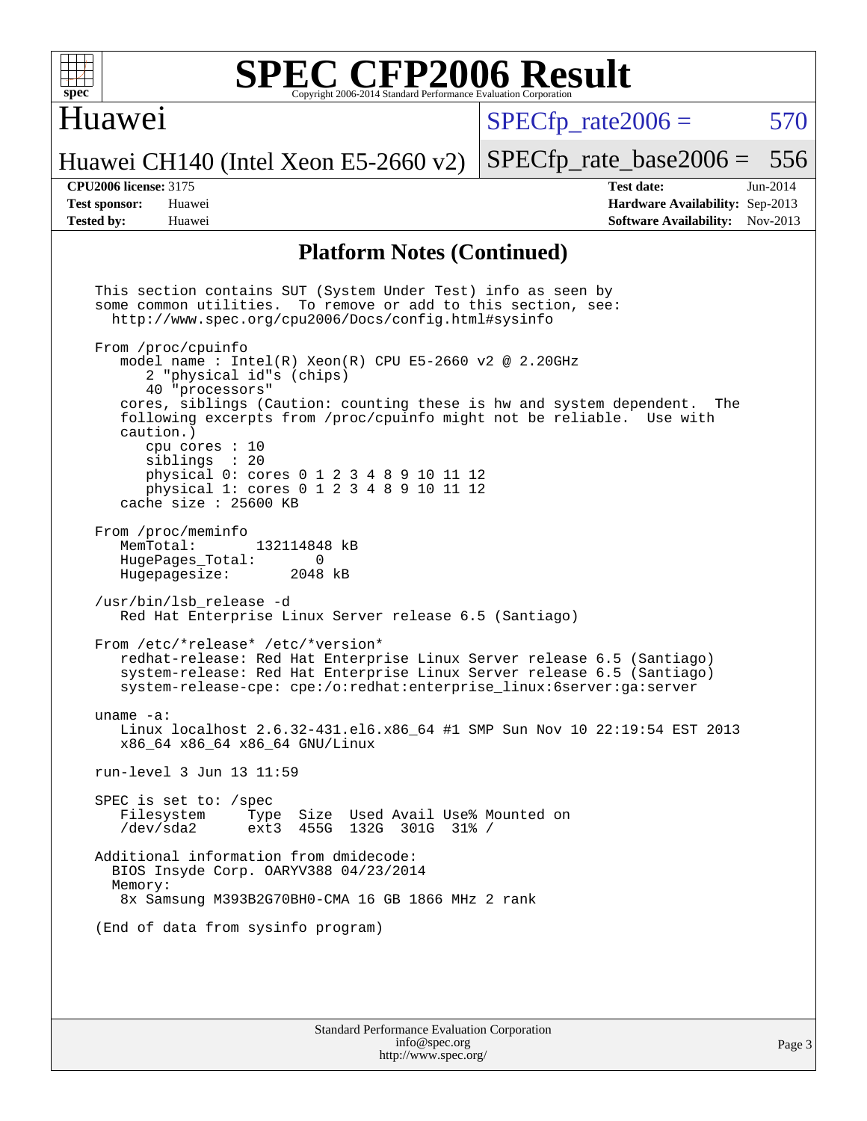

## Huawei

 $SPECTp\_rate2006 = 570$ 

[SPECfp\\_rate\\_base2006 =](http://www.spec.org/auto/cpu2006/Docs/result-fields.html#SPECfpratebase2006) 556

Huawei CH140 (Intel Xeon E5-2660 v2)

**[CPU2006 license:](http://www.spec.org/auto/cpu2006/Docs/result-fields.html#CPU2006license)** 3175 **[Test date:](http://www.spec.org/auto/cpu2006/Docs/result-fields.html#Testdate)** Jun-2014 **[Test sponsor:](http://www.spec.org/auto/cpu2006/Docs/result-fields.html#Testsponsor)** Huawei **[Hardware Availability:](http://www.spec.org/auto/cpu2006/Docs/result-fields.html#HardwareAvailability)** Sep-2013 **[Tested by:](http://www.spec.org/auto/cpu2006/Docs/result-fields.html#Testedby)** Huawei **[Software Availability:](http://www.spec.org/auto/cpu2006/Docs/result-fields.html#SoftwareAvailability)** Nov-2013

### **[Platform Notes \(Continued\)](http://www.spec.org/auto/cpu2006/Docs/result-fields.html#PlatformNotes)**

 This section contains SUT (System Under Test) info as seen by some common utilities. To remove or add to this section, see: <http://www.spec.org/cpu2006/Docs/config.html#sysinfo> From /proc/cpuinfo model name : Intel $(R)$  Xeon $(R)$  CPU E5-2660 v2 @ 2.20GHz 2 "physical id"s (chips) 40 "processors" cores, siblings (Caution: counting these is hw and system dependent. The following excerpts from /proc/cpuinfo might not be reliable. Use with caution.) cpu cores : 10 siblings : 20 physical 0: cores 0 1 2 3 4 8 9 10 11 12 physical 1: cores 0 1 2 3 4 8 9 10 11 12 cache size : 25600 KB From /proc/meminfo<br>MemTotal: 132114848 kB HugePages\_Total: 0<br>Hugepagesize: 2048 kB Hugepagesize: /usr/bin/lsb\_release -d Red Hat Enterprise Linux Server release 6.5 (Santiago) From /etc/\*release\* /etc/\*version\* redhat-release: Red Hat Enterprise Linux Server release 6.5 (Santiago) system-release: Red Hat Enterprise Linux Server release 6.5 (Santiago) system-release-cpe: cpe:/o:redhat:enterprise\_linux:6server:ga:server uname -a: Linux localhost 2.6.32-431.el6.x86\_64 #1 SMP Sun Nov 10 22:19:54 EST 2013 x86\_64 x86\_64 x86\_64 GNU/Linux run-level 3 Jun 13 11:59 SPEC is set to: /spec<br>Filesystem Type Type Size Used Avail Use% Mounted on /dev/sda2 ext3 455G 132G 301G 31% / Additional information from dmidecode: BIOS Insyde Corp. OARYV388 04/23/2014 Memory: 8x Samsung M393B2G70BH0-CMA 16 GB 1866 MHz 2 rank (End of data from sysinfo program)

Standard Performance Evaluation Corporation [info@spec.org](mailto:info@spec.org) <http://www.spec.org/>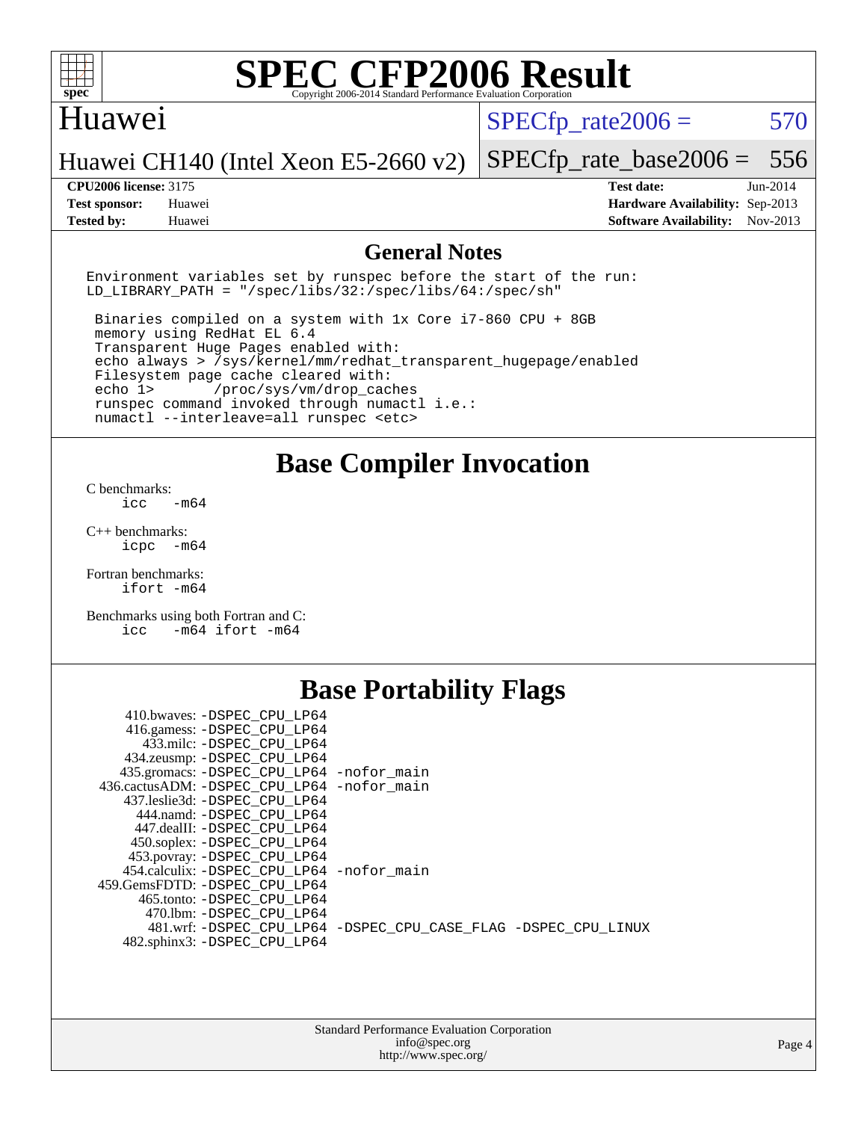

## Huawei

 $SPECTp\_rate2006 = 570$ 

Huawei CH140 (Intel Xeon E5-2660 v2)

[SPECfp\\_rate\\_base2006 =](http://www.spec.org/auto/cpu2006/Docs/result-fields.html#SPECfpratebase2006) 556

**[Tested by:](http://www.spec.org/auto/cpu2006/Docs/result-fields.html#Testedby)** Huawei **[Software Availability:](http://www.spec.org/auto/cpu2006/Docs/result-fields.html#SoftwareAvailability)** Nov-2013

**[CPU2006 license:](http://www.spec.org/auto/cpu2006/Docs/result-fields.html#CPU2006license)** 3175 **[Test date:](http://www.spec.org/auto/cpu2006/Docs/result-fields.html#Testdate)** Jun-2014 **[Test sponsor:](http://www.spec.org/auto/cpu2006/Docs/result-fields.html#Testsponsor)** Huawei **[Hardware Availability:](http://www.spec.org/auto/cpu2006/Docs/result-fields.html#HardwareAvailability)** Sep-2013

### **[General Notes](http://www.spec.org/auto/cpu2006/Docs/result-fields.html#GeneralNotes)**

Environment variables set by runspec before the start of the run: LD LIBRARY PATH = "/spec/libs/32:/spec/libs/64:/spec/sh"

 Binaries compiled on a system with 1x Core i7-860 CPU + 8GB memory using RedHat EL 6.4 Transparent Huge Pages enabled with: echo always > /sys/kernel/mm/redhat\_transparent\_hugepage/enabled Filesystem page cache cleared with: echo 1> /proc/sys/vm/drop\_caches runspec command invoked through numactl i.e.: numactl --interleave=all runspec <etc>

**[Base Compiler Invocation](http://www.spec.org/auto/cpu2006/Docs/result-fields.html#BaseCompilerInvocation)**

[C benchmarks](http://www.spec.org/auto/cpu2006/Docs/result-fields.html#Cbenchmarks):  $\text{icc}$   $-\text{m64}$ 

[C++ benchmarks:](http://www.spec.org/auto/cpu2006/Docs/result-fields.html#CXXbenchmarks) [icpc -m64](http://www.spec.org/cpu2006/results/res2014q3/cpu2006-20140619-29975.flags.html#user_CXXbase_intel_icpc_64bit_bedb90c1146cab66620883ef4f41a67e)

[Fortran benchmarks](http://www.spec.org/auto/cpu2006/Docs/result-fields.html#Fortranbenchmarks): [ifort -m64](http://www.spec.org/cpu2006/results/res2014q3/cpu2006-20140619-29975.flags.html#user_FCbase_intel_ifort_64bit_ee9d0fb25645d0210d97eb0527dcc06e)

[Benchmarks using both Fortran and C](http://www.spec.org/auto/cpu2006/Docs/result-fields.html#BenchmarksusingbothFortranandC): [icc -m64](http://www.spec.org/cpu2006/results/res2014q3/cpu2006-20140619-29975.flags.html#user_CC_FCbase_intel_icc_64bit_0b7121f5ab7cfabee23d88897260401c) [ifort -m64](http://www.spec.org/cpu2006/results/res2014q3/cpu2006-20140619-29975.flags.html#user_CC_FCbase_intel_ifort_64bit_ee9d0fb25645d0210d97eb0527dcc06e)

## **[Base Portability Flags](http://www.spec.org/auto/cpu2006/Docs/result-fields.html#BasePortabilityFlags)**

| 410.bwaves: -DSPEC CPU LP64                 |                                                                |
|---------------------------------------------|----------------------------------------------------------------|
| 416.gamess: -DSPEC_CPU_LP64                 |                                                                |
| 433.milc: -DSPEC CPU LP64                   |                                                                |
| 434.zeusmp: - DSPEC_CPU_LP64                |                                                                |
| 435.gromacs: -DSPEC_CPU_LP64 -nofor_main    |                                                                |
| 436.cactusADM: -DSPEC CPU LP64 -nofor main  |                                                                |
| 437.leslie3d: -DSPEC CPU LP64               |                                                                |
| 444.namd: -DSPEC CPU LP64                   |                                                                |
| 447.dealII: -DSPEC CPU LP64                 |                                                                |
| 450.soplex: - DSPEC CPU LP64                |                                                                |
| 453.povray: -DSPEC_CPU_LP64                 |                                                                |
| 454.calculix: - DSPEC CPU LP64 - nofor main |                                                                |
| 459. GemsFDTD: - DSPEC CPU LP64             |                                                                |
| 465.tonto: - DSPEC CPU LP64                 |                                                                |
| 470.1bm: - DSPEC CPU LP64                   |                                                                |
|                                             | 481.wrf: -DSPEC CPU_LP64 -DSPEC_CPU_CASE_FLAG -DSPEC_CPU_LINUX |
| 482.sphinx3: -DSPEC_CPU_LP64                |                                                                |
|                                             |                                                                |

| <b>Standard Performance Evaluation Corporation</b> |
|----------------------------------------------------|
| info@spec.org                                      |
| http://www.spec.org/                               |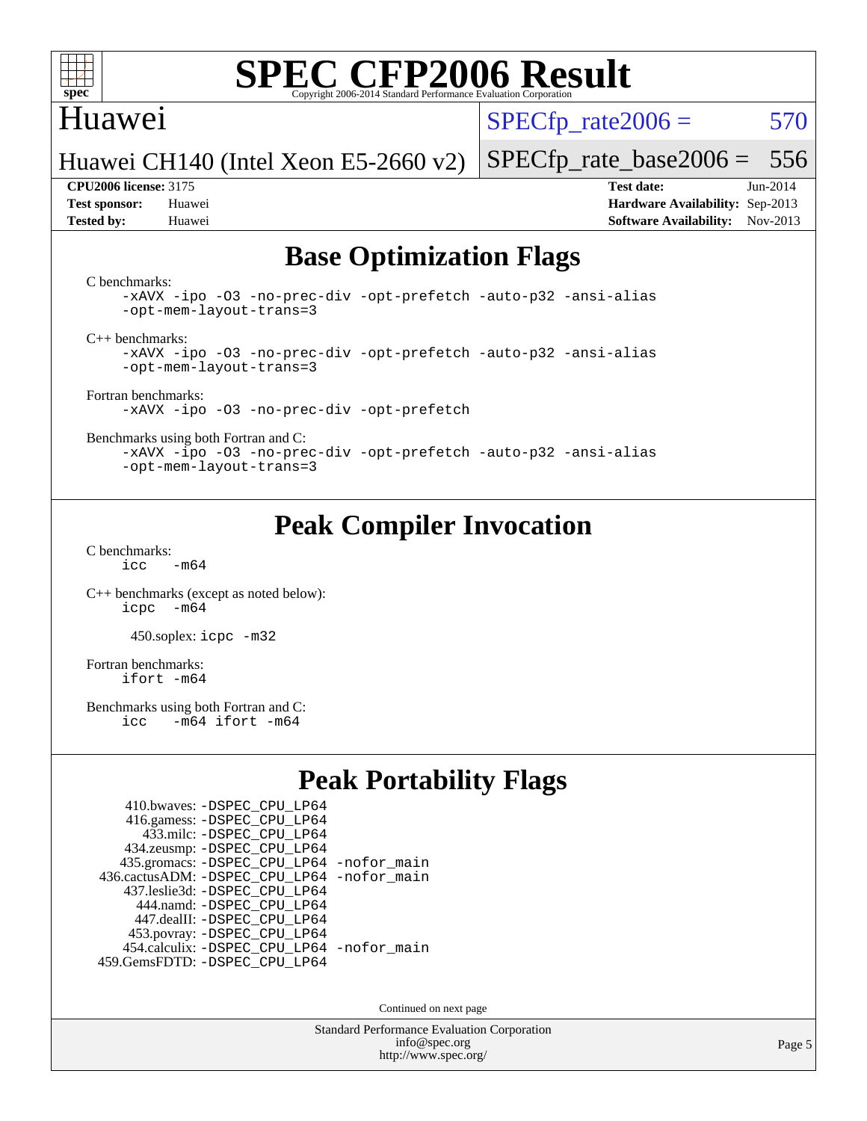

## Huawei

 $SPECTp\_rate2006 = 570$ 

[SPECfp\\_rate\\_base2006 =](http://www.spec.org/auto/cpu2006/Docs/result-fields.html#SPECfpratebase2006) 556

Huawei CH140 (Intel Xeon E5-2660 v2)

**[Tested by:](http://www.spec.org/auto/cpu2006/Docs/result-fields.html#Testedby)** Huawei **[Software Availability:](http://www.spec.org/auto/cpu2006/Docs/result-fields.html#SoftwareAvailability)** Nov-2013

**[CPU2006 license:](http://www.spec.org/auto/cpu2006/Docs/result-fields.html#CPU2006license)** 3175 **[Test date:](http://www.spec.org/auto/cpu2006/Docs/result-fields.html#Testdate)** Jun-2014 **[Test sponsor:](http://www.spec.org/auto/cpu2006/Docs/result-fields.html#Testsponsor)** Huawei **[Hardware Availability:](http://www.spec.org/auto/cpu2006/Docs/result-fields.html#HardwareAvailability)** Sep-2013

## **[Base Optimization Flags](http://www.spec.org/auto/cpu2006/Docs/result-fields.html#BaseOptimizationFlags)**

[C benchmarks](http://www.spec.org/auto/cpu2006/Docs/result-fields.html#Cbenchmarks):

[-xAVX](http://www.spec.org/cpu2006/results/res2014q3/cpu2006-20140619-29975.flags.html#user_CCbase_f-xAVX) [-ipo](http://www.spec.org/cpu2006/results/res2014q3/cpu2006-20140619-29975.flags.html#user_CCbase_f-ipo) [-O3](http://www.spec.org/cpu2006/results/res2014q3/cpu2006-20140619-29975.flags.html#user_CCbase_f-O3) [-no-prec-div](http://www.spec.org/cpu2006/results/res2014q3/cpu2006-20140619-29975.flags.html#user_CCbase_f-no-prec-div) [-opt-prefetch](http://www.spec.org/cpu2006/results/res2014q3/cpu2006-20140619-29975.flags.html#user_CCbase_f-opt-prefetch) [-auto-p32](http://www.spec.org/cpu2006/results/res2014q3/cpu2006-20140619-29975.flags.html#user_CCbase_f-auto-p32) [-ansi-alias](http://www.spec.org/cpu2006/results/res2014q3/cpu2006-20140619-29975.flags.html#user_CCbase_f-ansi-alias) [-opt-mem-layout-trans=3](http://www.spec.org/cpu2006/results/res2014q3/cpu2006-20140619-29975.flags.html#user_CCbase_f-opt-mem-layout-trans_a7b82ad4bd7abf52556d4961a2ae94d5)

[C++ benchmarks:](http://www.spec.org/auto/cpu2006/Docs/result-fields.html#CXXbenchmarks)

[-xAVX](http://www.spec.org/cpu2006/results/res2014q3/cpu2006-20140619-29975.flags.html#user_CXXbase_f-xAVX) [-ipo](http://www.spec.org/cpu2006/results/res2014q3/cpu2006-20140619-29975.flags.html#user_CXXbase_f-ipo) [-O3](http://www.spec.org/cpu2006/results/res2014q3/cpu2006-20140619-29975.flags.html#user_CXXbase_f-O3) [-no-prec-div](http://www.spec.org/cpu2006/results/res2014q3/cpu2006-20140619-29975.flags.html#user_CXXbase_f-no-prec-div) [-opt-prefetch](http://www.spec.org/cpu2006/results/res2014q3/cpu2006-20140619-29975.flags.html#user_CXXbase_f-opt-prefetch) [-auto-p32](http://www.spec.org/cpu2006/results/res2014q3/cpu2006-20140619-29975.flags.html#user_CXXbase_f-auto-p32) [-ansi-alias](http://www.spec.org/cpu2006/results/res2014q3/cpu2006-20140619-29975.flags.html#user_CXXbase_f-ansi-alias) [-opt-mem-layout-trans=3](http://www.spec.org/cpu2006/results/res2014q3/cpu2006-20140619-29975.flags.html#user_CXXbase_f-opt-mem-layout-trans_a7b82ad4bd7abf52556d4961a2ae94d5)

[Fortran benchmarks](http://www.spec.org/auto/cpu2006/Docs/result-fields.html#Fortranbenchmarks): [-xAVX](http://www.spec.org/cpu2006/results/res2014q3/cpu2006-20140619-29975.flags.html#user_FCbase_f-xAVX) [-ipo](http://www.spec.org/cpu2006/results/res2014q3/cpu2006-20140619-29975.flags.html#user_FCbase_f-ipo) [-O3](http://www.spec.org/cpu2006/results/res2014q3/cpu2006-20140619-29975.flags.html#user_FCbase_f-O3) [-no-prec-div](http://www.spec.org/cpu2006/results/res2014q3/cpu2006-20140619-29975.flags.html#user_FCbase_f-no-prec-div) [-opt-prefetch](http://www.spec.org/cpu2006/results/res2014q3/cpu2006-20140619-29975.flags.html#user_FCbase_f-opt-prefetch)

[Benchmarks using both Fortran and C](http://www.spec.org/auto/cpu2006/Docs/result-fields.html#BenchmarksusingbothFortranandC):

[-xAVX](http://www.spec.org/cpu2006/results/res2014q3/cpu2006-20140619-29975.flags.html#user_CC_FCbase_f-xAVX) [-ipo](http://www.spec.org/cpu2006/results/res2014q3/cpu2006-20140619-29975.flags.html#user_CC_FCbase_f-ipo) [-O3](http://www.spec.org/cpu2006/results/res2014q3/cpu2006-20140619-29975.flags.html#user_CC_FCbase_f-O3) [-no-prec-div](http://www.spec.org/cpu2006/results/res2014q3/cpu2006-20140619-29975.flags.html#user_CC_FCbase_f-no-prec-div) [-opt-prefetch](http://www.spec.org/cpu2006/results/res2014q3/cpu2006-20140619-29975.flags.html#user_CC_FCbase_f-opt-prefetch) [-auto-p32](http://www.spec.org/cpu2006/results/res2014q3/cpu2006-20140619-29975.flags.html#user_CC_FCbase_f-auto-p32) [-ansi-alias](http://www.spec.org/cpu2006/results/res2014q3/cpu2006-20140619-29975.flags.html#user_CC_FCbase_f-ansi-alias) [-opt-mem-layout-trans=3](http://www.spec.org/cpu2006/results/res2014q3/cpu2006-20140619-29975.flags.html#user_CC_FCbase_f-opt-mem-layout-trans_a7b82ad4bd7abf52556d4961a2ae94d5)

## **[Peak Compiler Invocation](http://www.spec.org/auto/cpu2006/Docs/result-fields.html#PeakCompilerInvocation)**

[C benchmarks](http://www.spec.org/auto/cpu2006/Docs/result-fields.html#Cbenchmarks):  $icc$   $-m64$ 

[C++ benchmarks \(except as noted below\):](http://www.spec.org/auto/cpu2006/Docs/result-fields.html#CXXbenchmarksexceptasnotedbelow) [icpc -m64](http://www.spec.org/cpu2006/results/res2014q3/cpu2006-20140619-29975.flags.html#user_CXXpeak_intel_icpc_64bit_bedb90c1146cab66620883ef4f41a67e)

450.soplex: [icpc -m32](http://www.spec.org/cpu2006/results/res2014q3/cpu2006-20140619-29975.flags.html#user_peakCXXLD450_soplex_intel_icpc_4e5a5ef1a53fd332b3c49e69c3330699)

[Fortran benchmarks](http://www.spec.org/auto/cpu2006/Docs/result-fields.html#Fortranbenchmarks): [ifort -m64](http://www.spec.org/cpu2006/results/res2014q3/cpu2006-20140619-29975.flags.html#user_FCpeak_intel_ifort_64bit_ee9d0fb25645d0210d97eb0527dcc06e)

[Benchmarks using both Fortran and C](http://www.spec.org/auto/cpu2006/Docs/result-fields.html#BenchmarksusingbothFortranandC):<br>icc -m64 ifort -m64  $-m64$  ifort  $-m64$ 

## **[Peak Portability Flags](http://www.spec.org/auto/cpu2006/Docs/result-fields.html#PeakPortabilityFlags)**

| 410.bwaves: - DSPEC CPU LP64                |  |
|---------------------------------------------|--|
| 416.gamess: -DSPEC_CPU_LP64                 |  |
| 433.milc: - DSPEC_CPU LP64                  |  |
| 434.zeusmp: -DSPEC_CPU_LP64                 |  |
| 435.gromacs: -DSPEC_CPU_LP64 -nofor_main    |  |
| 436.cactusADM: -DSPEC CPU LP64 -nofor main  |  |
| 437.leslie3d: -DSPEC CPU LP64               |  |
| 444.namd: - DSPEC CPU LP64                  |  |
| 447.dealII: -DSPEC CPU LP64                 |  |
| 453.povray: -DSPEC_CPU_LP64                 |  |
| 454.calculix: - DSPEC CPU LP64 - nofor main |  |
| 459.GemsFDTD: - DSPEC_CPU_LP64              |  |

Continued on next page

Standard Performance Evaluation Corporation [info@spec.org](mailto:info@spec.org) <http://www.spec.org/>

Page 5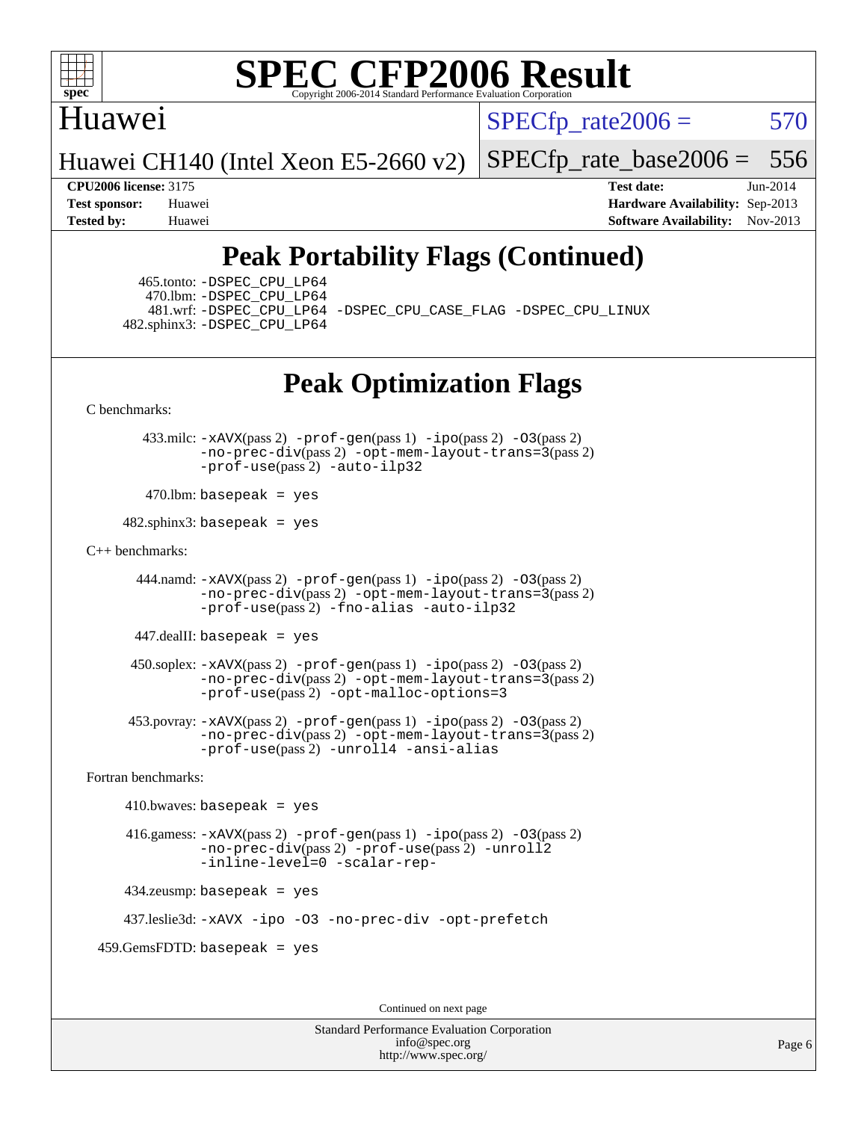

## Huawei

 $SPECTp\_rate2006 = 570$ 

Huawei CH140 (Intel Xeon E5-2660 v2)

[SPECfp\\_rate\\_base2006 =](http://www.spec.org/auto/cpu2006/Docs/result-fields.html#SPECfpratebase2006) 556

**[CPU2006 license:](http://www.spec.org/auto/cpu2006/Docs/result-fields.html#CPU2006license)** 3175 **[Test date:](http://www.spec.org/auto/cpu2006/Docs/result-fields.html#Testdate)** Jun-2014 **[Test sponsor:](http://www.spec.org/auto/cpu2006/Docs/result-fields.html#Testsponsor)** Huawei **[Hardware Availability:](http://www.spec.org/auto/cpu2006/Docs/result-fields.html#HardwareAvailability)** Sep-2013 **[Tested by:](http://www.spec.org/auto/cpu2006/Docs/result-fields.html#Testedby)** Huawei **[Software Availability:](http://www.spec.org/auto/cpu2006/Docs/result-fields.html#SoftwareAvailability)** Nov-2013

## **[Peak Portability Flags \(Continued\)](http://www.spec.org/auto/cpu2006/Docs/result-fields.html#PeakPortabilityFlags)**

 465.tonto: [-DSPEC\\_CPU\\_LP64](http://www.spec.org/cpu2006/results/res2014q3/cpu2006-20140619-29975.flags.html#suite_peakPORTABILITY465_tonto_DSPEC_CPU_LP64) 470.lbm: [-DSPEC\\_CPU\\_LP64](http://www.spec.org/cpu2006/results/res2014q3/cpu2006-20140619-29975.flags.html#suite_peakPORTABILITY470_lbm_DSPEC_CPU_LP64) 482.sphinx3: [-DSPEC\\_CPU\\_LP64](http://www.spec.org/cpu2006/results/res2014q3/cpu2006-20140619-29975.flags.html#suite_peakPORTABILITY482_sphinx3_DSPEC_CPU_LP64)

481.wrf: [-DSPEC\\_CPU\\_LP64](http://www.spec.org/cpu2006/results/res2014q3/cpu2006-20140619-29975.flags.html#suite_peakPORTABILITY481_wrf_DSPEC_CPU_LP64) [-DSPEC\\_CPU\\_CASE\\_FLAG](http://www.spec.org/cpu2006/results/res2014q3/cpu2006-20140619-29975.flags.html#b481.wrf_peakCPORTABILITY_DSPEC_CPU_CASE_FLAG) [-DSPEC\\_CPU\\_LINUX](http://www.spec.org/cpu2006/results/res2014q3/cpu2006-20140619-29975.flags.html#b481.wrf_peakCPORTABILITY_DSPEC_CPU_LINUX)

## **[Peak Optimization Flags](http://www.spec.org/auto/cpu2006/Docs/result-fields.html#PeakOptimizationFlags)**

[C benchmarks](http://www.spec.org/auto/cpu2006/Docs/result-fields.html#Cbenchmarks):

 433.milc: [-xAVX](http://www.spec.org/cpu2006/results/res2014q3/cpu2006-20140619-29975.flags.html#user_peakPASS2_CFLAGSPASS2_LDFLAGS433_milc_f-xAVX)(pass 2) [-prof-gen](http://www.spec.org/cpu2006/results/res2014q3/cpu2006-20140619-29975.flags.html#user_peakPASS1_CFLAGSPASS1_LDFLAGS433_milc_prof_gen_e43856698f6ca7b7e442dfd80e94a8fc)(pass 1) [-ipo](http://www.spec.org/cpu2006/results/res2014q3/cpu2006-20140619-29975.flags.html#user_peakPASS2_CFLAGSPASS2_LDFLAGS433_milc_f-ipo)(pass 2) [-O3](http://www.spec.org/cpu2006/results/res2014q3/cpu2006-20140619-29975.flags.html#user_peakPASS2_CFLAGSPASS2_LDFLAGS433_milc_f-O3)(pass 2) [-no-prec-div](http://www.spec.org/cpu2006/results/res2014q3/cpu2006-20140619-29975.flags.html#user_peakPASS2_CFLAGSPASS2_LDFLAGS433_milc_f-no-prec-div)(pass 2) [-opt-mem-layout-trans=3](http://www.spec.org/cpu2006/results/res2014q3/cpu2006-20140619-29975.flags.html#user_peakPASS2_CFLAGS433_milc_f-opt-mem-layout-trans_a7b82ad4bd7abf52556d4961a2ae94d5)(pass 2) [-prof-use](http://www.spec.org/cpu2006/results/res2014q3/cpu2006-20140619-29975.flags.html#user_peakPASS2_CFLAGSPASS2_LDFLAGS433_milc_prof_use_bccf7792157ff70d64e32fe3e1250b55)(pass 2) [-auto-ilp32](http://www.spec.org/cpu2006/results/res2014q3/cpu2006-20140619-29975.flags.html#user_peakCOPTIMIZE433_milc_f-auto-ilp32)

 $470$ .lbm: basepeak = yes

 $482$ .sphinx3: basepeak = yes

#### [C++ benchmarks:](http://www.spec.org/auto/cpu2006/Docs/result-fields.html#CXXbenchmarks)

 444.namd: [-xAVX](http://www.spec.org/cpu2006/results/res2014q3/cpu2006-20140619-29975.flags.html#user_peakPASS2_CXXFLAGSPASS2_LDFLAGS444_namd_f-xAVX)(pass 2) [-prof-gen](http://www.spec.org/cpu2006/results/res2014q3/cpu2006-20140619-29975.flags.html#user_peakPASS1_CXXFLAGSPASS1_LDFLAGS444_namd_prof_gen_e43856698f6ca7b7e442dfd80e94a8fc)(pass 1) [-ipo](http://www.spec.org/cpu2006/results/res2014q3/cpu2006-20140619-29975.flags.html#user_peakPASS2_CXXFLAGSPASS2_LDFLAGS444_namd_f-ipo)(pass 2) [-O3](http://www.spec.org/cpu2006/results/res2014q3/cpu2006-20140619-29975.flags.html#user_peakPASS2_CXXFLAGSPASS2_LDFLAGS444_namd_f-O3)(pass 2) [-no-prec-div](http://www.spec.org/cpu2006/results/res2014q3/cpu2006-20140619-29975.flags.html#user_peakPASS2_CXXFLAGSPASS2_LDFLAGS444_namd_f-no-prec-div)(pass 2) [-opt-mem-layout-trans=3](http://www.spec.org/cpu2006/results/res2014q3/cpu2006-20140619-29975.flags.html#user_peakPASS2_CXXFLAGS444_namd_f-opt-mem-layout-trans_a7b82ad4bd7abf52556d4961a2ae94d5)(pass 2) [-prof-use](http://www.spec.org/cpu2006/results/res2014q3/cpu2006-20140619-29975.flags.html#user_peakPASS2_CXXFLAGSPASS2_LDFLAGS444_namd_prof_use_bccf7792157ff70d64e32fe3e1250b55)(pass 2) [-fno-alias](http://www.spec.org/cpu2006/results/res2014q3/cpu2006-20140619-29975.flags.html#user_peakCXXOPTIMIZE444_namd_f-no-alias_694e77f6c5a51e658e82ccff53a9e63a) [-auto-ilp32](http://www.spec.org/cpu2006/results/res2014q3/cpu2006-20140619-29975.flags.html#user_peakCXXOPTIMIZE444_namd_f-auto-ilp32)

447.dealII: basepeak = yes

 $450$ .soplex:  $-x$ AVX(pass 2)  $-p$ rof-gen(pass 1)  $-i$ po(pass 2)  $-03$ (pass 2) [-no-prec-div](http://www.spec.org/cpu2006/results/res2014q3/cpu2006-20140619-29975.flags.html#user_peakPASS2_CXXFLAGSPASS2_LDFLAGS450_soplex_f-no-prec-div)(pass 2) [-opt-mem-layout-trans=3](http://www.spec.org/cpu2006/results/res2014q3/cpu2006-20140619-29975.flags.html#user_peakPASS2_CXXFLAGS450_soplex_f-opt-mem-layout-trans_a7b82ad4bd7abf52556d4961a2ae94d5)(pass 2) [-prof-use](http://www.spec.org/cpu2006/results/res2014q3/cpu2006-20140619-29975.flags.html#user_peakPASS2_CXXFLAGSPASS2_LDFLAGS450_soplex_prof_use_bccf7792157ff70d64e32fe3e1250b55)(pass 2) [-opt-malloc-options=3](http://www.spec.org/cpu2006/results/res2014q3/cpu2006-20140619-29975.flags.html#user_peakOPTIMIZE450_soplex_f-opt-malloc-options_13ab9b803cf986b4ee62f0a5998c2238)

 453.povray: [-xAVX](http://www.spec.org/cpu2006/results/res2014q3/cpu2006-20140619-29975.flags.html#user_peakPASS2_CXXFLAGSPASS2_LDFLAGS453_povray_f-xAVX)(pass 2) [-prof-gen](http://www.spec.org/cpu2006/results/res2014q3/cpu2006-20140619-29975.flags.html#user_peakPASS1_CXXFLAGSPASS1_LDFLAGS453_povray_prof_gen_e43856698f6ca7b7e442dfd80e94a8fc)(pass 1) [-ipo](http://www.spec.org/cpu2006/results/res2014q3/cpu2006-20140619-29975.flags.html#user_peakPASS2_CXXFLAGSPASS2_LDFLAGS453_povray_f-ipo)(pass 2) [-O3](http://www.spec.org/cpu2006/results/res2014q3/cpu2006-20140619-29975.flags.html#user_peakPASS2_CXXFLAGSPASS2_LDFLAGS453_povray_f-O3)(pass 2) [-no-prec-div](http://www.spec.org/cpu2006/results/res2014q3/cpu2006-20140619-29975.flags.html#user_peakPASS2_CXXFLAGSPASS2_LDFLAGS453_povray_f-no-prec-div)(pass 2) [-opt-mem-layout-trans=3](http://www.spec.org/cpu2006/results/res2014q3/cpu2006-20140619-29975.flags.html#user_peakPASS2_CXXFLAGS453_povray_f-opt-mem-layout-trans_a7b82ad4bd7abf52556d4961a2ae94d5)(pass 2) [-prof-use](http://www.spec.org/cpu2006/results/res2014q3/cpu2006-20140619-29975.flags.html#user_peakPASS2_CXXFLAGSPASS2_LDFLAGS453_povray_prof_use_bccf7792157ff70d64e32fe3e1250b55)(pass 2) [-unroll4](http://www.spec.org/cpu2006/results/res2014q3/cpu2006-20140619-29975.flags.html#user_peakCXXOPTIMIZE453_povray_f-unroll_4e5e4ed65b7fd20bdcd365bec371b81f) [-ansi-alias](http://www.spec.org/cpu2006/results/res2014q3/cpu2006-20140619-29975.flags.html#user_peakCXXOPTIMIZE453_povray_f-ansi-alias)

[Fortran benchmarks](http://www.spec.org/auto/cpu2006/Docs/result-fields.html#Fortranbenchmarks):

 $410.bwaves: basepeak = yes$  416.gamess: [-xAVX](http://www.spec.org/cpu2006/results/res2014q3/cpu2006-20140619-29975.flags.html#user_peakPASS2_FFLAGSPASS2_LDFLAGS416_gamess_f-xAVX)(pass 2) [-prof-gen](http://www.spec.org/cpu2006/results/res2014q3/cpu2006-20140619-29975.flags.html#user_peakPASS1_FFLAGSPASS1_LDFLAGS416_gamess_prof_gen_e43856698f6ca7b7e442dfd80e94a8fc)(pass 1) [-ipo](http://www.spec.org/cpu2006/results/res2014q3/cpu2006-20140619-29975.flags.html#user_peakPASS2_FFLAGSPASS2_LDFLAGS416_gamess_f-ipo)(pass 2) [-O3](http://www.spec.org/cpu2006/results/res2014q3/cpu2006-20140619-29975.flags.html#user_peakPASS2_FFLAGSPASS2_LDFLAGS416_gamess_f-O3)(pass 2) [-no-prec-div](http://www.spec.org/cpu2006/results/res2014q3/cpu2006-20140619-29975.flags.html#user_peakPASS2_FFLAGSPASS2_LDFLAGS416_gamess_f-no-prec-div)(pass 2) [-prof-use](http://www.spec.org/cpu2006/results/res2014q3/cpu2006-20140619-29975.flags.html#user_peakPASS2_FFLAGSPASS2_LDFLAGS416_gamess_prof_use_bccf7792157ff70d64e32fe3e1250b55)(pass 2) [-unroll2](http://www.spec.org/cpu2006/results/res2014q3/cpu2006-20140619-29975.flags.html#user_peakOPTIMIZE416_gamess_f-unroll_784dae83bebfb236979b41d2422d7ec2) [-inline-level=0](http://www.spec.org/cpu2006/results/res2014q3/cpu2006-20140619-29975.flags.html#user_peakOPTIMIZE416_gamess_f-inline-level_318d07a09274ad25e8d15dbfaa68ba50) [-scalar-rep-](http://www.spec.org/cpu2006/results/res2014q3/cpu2006-20140619-29975.flags.html#user_peakOPTIMIZE416_gamess_f-disablescalarrep_abbcad04450fb118e4809c81d83c8a1d) 434.zeusmp: basepeak = yes

437.leslie3d: [-xAVX](http://www.spec.org/cpu2006/results/res2014q3/cpu2006-20140619-29975.flags.html#user_peakOPTIMIZE437_leslie3d_f-xAVX) [-ipo](http://www.spec.org/cpu2006/results/res2014q3/cpu2006-20140619-29975.flags.html#user_peakOPTIMIZE437_leslie3d_f-ipo) [-O3](http://www.spec.org/cpu2006/results/res2014q3/cpu2006-20140619-29975.flags.html#user_peakOPTIMIZE437_leslie3d_f-O3) [-no-prec-div](http://www.spec.org/cpu2006/results/res2014q3/cpu2006-20140619-29975.flags.html#user_peakOPTIMIZE437_leslie3d_f-no-prec-div) [-opt-prefetch](http://www.spec.org/cpu2006/results/res2014q3/cpu2006-20140619-29975.flags.html#user_peakOPTIMIZE437_leslie3d_f-opt-prefetch)

459.GemsFDTD: basepeak = yes

Continued on next page

Standard Performance Evaluation Corporation [info@spec.org](mailto:info@spec.org) <http://www.spec.org/>